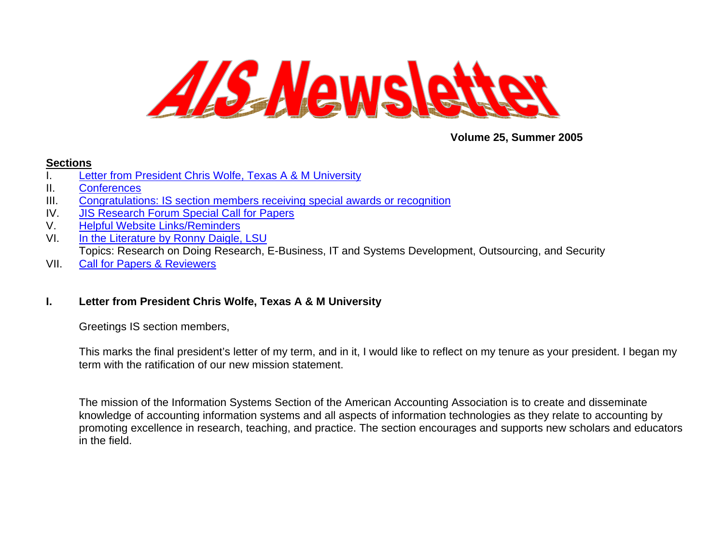<span id="page-0-0"></span>

**Volume 25, Summer 2005** 

### **Sections**

- I. [Letter from President Chris Wolfe, Texas A & M University](#page-0-0)
- II. [Conferences](#page-2-0)
- III. [Congratulations: IS section members receiving special awards or recognition](#page-3-0)
- IV. [JIS Research Forum Special Call for Papers](#page-3-0)
- V. [Helpful Website Links/Reminders](#page-5-0)
- VI. [In the Literature by Ronny Daigle, LSU](#page-5-0) Topics: Research on Doing Research, E-Business, IT and Systems Development, Outsourcing, and Security
- VII. [Call for Papers & Reviewers](#page-14-0)

# **I. Letter from President Chris Wolfe, Texas A & M University**

Greetings IS section members,

This marks the final president's letter of my term, and in it, I would like to reflect on my tenure as your president. I began my term with the ratification of our new mission statement.

The mission of the Information Systems Section of the American Accounting Association is to create and disseminate knowledge of accounting information systems and all aspects of information technologies as they relate to accounting by promoting excellence in research, teaching, and practice. The section encourages and supports new scholars and educators in the field.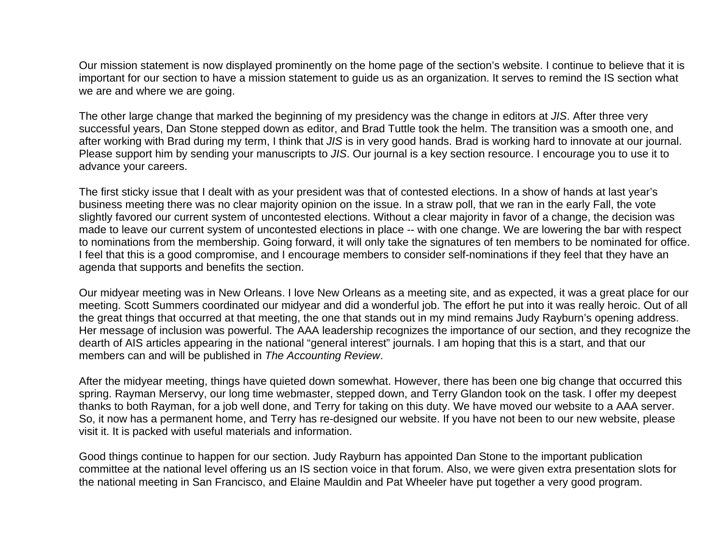Our mission statement is now displayed prominently on the home page of the section's website. I continue to believe that it is important for our section to have a mission statement to guide us as an organization. It serves to remind the IS section what we are and where we are going.

The other large change that marked the beginning of my presidency was the change in editors at *JIS*. After three very successful years, Dan Stone stepped down as editor, and Brad Tuttle took the helm. The transition was a smooth one, and after working with Brad during my term, I think that *JIS* is in very good hands. Brad is working hard to innovate at our journal. Please support him by sending your manuscripts to *JIS*. Our journal is a key section resource. I encourage you to use it to advance your careers.

The first sticky issue that I dealt with as your president was that of contested elections. In a show of hands at last year's business meeting there was no clear majority opinion on the issue. In a straw poll, that we ran in the early Fall, the vote slightly favored our current system of uncontested elections. Without a clear majority in favor of a change, the decision was made to leave our current system of uncontested elections in place -- with one change. We are lowering the bar with respect to nominations from the membership. Going forward, it will only take the signatures of ten members to be nominated for office. I feel that this is a good compromise, and I encourage members to consider self-nominations if they feel that they have an agenda that supports and benefits the section.

Our midyear meeting was in New Orleans. I love New Orleans as a meeting site, and as expected, it was a great place for our meeting. Scott Summers coordinated our midyear and did a wonderful job. The effort he put into it was really heroic. Out of all the great things that occurred at that meeting, the one that stands out in my mind remains Judy Rayburn's opening address. Her message of inclusion was powerful. The AAA leadership recognizes the importance of our section, and they recognize the dearth of AIS articles appearing in the national "general interest" journals. I am hoping that this is a start, and that our members can and will be published in *The Accounting Review*.

After the midyear meeting, things have quieted down somewhat. However, there has been one big change that occurred this spring. Rayman Merservy, our long time webmaster, stepped down, and Terry Glandon took on the task. I offer my deepest thanks to both Rayman, for a job well done, and Terry for taking on this duty. We have moved our website to a AAA server. So, it now has a permanent home, and Terry has re-designed our website. If you have not been to our new website, please visit it. It is packed with useful materials and information.

Good things continue to happen for our section. Judy Rayburn has appointed Dan Stone to the important publication committee at the national level offering us an IS section voice in that forum. Also, we were given extra presentation slots for the national meeting in San Francisco, and Elaine Mauldin and Pat Wheeler have put together a very good program.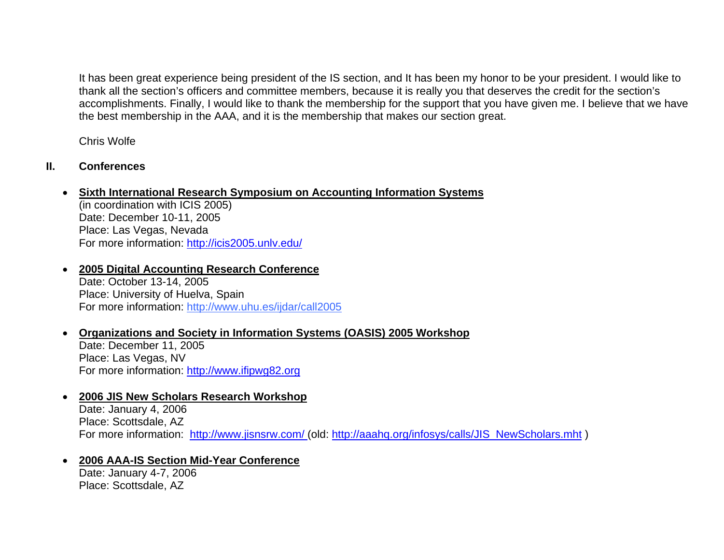<span id="page-2-0"></span>It has been great experience being president of the IS section, and It has been my honor to be your president. I would like to thank all the section's officers and committee members, because it is really you that deserves the credit for the section's accomplishments. Finally, I would like to thank the membership for the support that you have given me. I believe that we have the best membership in the AAA, and it is the membership that makes our section great.

Chris Wolfe

# **II. Conferences**

# • **Sixth International Research Symposium on Accounting Information Systems**

(in coordination with ICIS 2005) Date: December 10-11, 2005 Place: Las Vegas, Nevada For more information:<http://icis2005.unlv.edu/>

- **2005 Digital Accounting Research Conference** Date: October 13-14, 2005 Place: University of Huelva, Spain For more information:<http://www.uhu.es/ijdar/call2005>
- •**Organizations and Society in Information Systems (OASIS) 2005 Workshop**

Date: December 11, 2005 Place: Las Vegas, NV For more information: [http://www.ifipwg82.org](http://www.ifipwg82.org/)

### •**2006 JIS New Scholars Research Workshop**

Date: January 4, 2006 Place: Scottsdale, AZ For more information: <http://www.jisnsrw.com/> (old: [http://aaahq.org/infosys/calls/JIS\\_NewScholars.mht](http://aaahq.org/infosys/calls/JIS_NewScholars.mht) )

### •**2006 AAA-IS Section Mid-Year Conference**

Date: January 4-7, 2006 Place: Scottsdale, AZ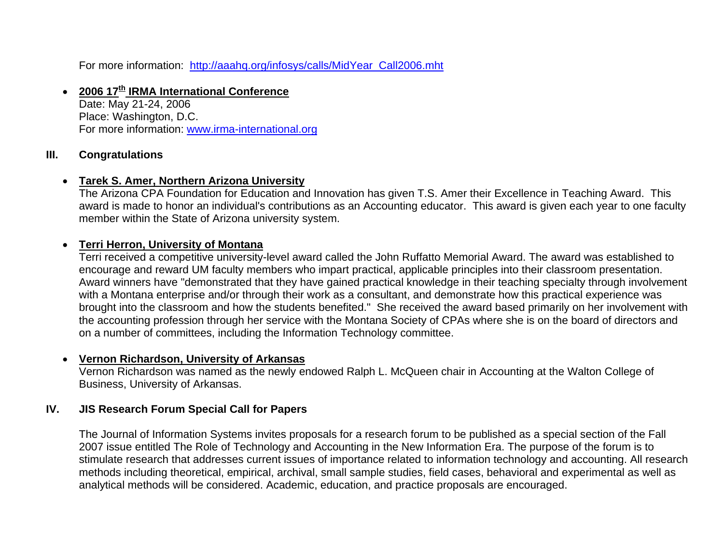<span id="page-3-0"></span>For more information: [http://aaahq.org/infosys/calls/MidYear\\_Call2006.mht](http://aaahq.org/infosys/calls/MidYear_Call2006.mht)

### •**2006 17th IRMA International Conference**

Date: May 21-24, 2006 Place: Washington, D.C. For more information: [www.irma-international.org](http://www.irma-international.org/)

# **III. Congratulations**

# • **Tarek S. Amer, Northern Arizona University**

The Arizona CPA Foundation for Education and Innovation has given T.S. Amer their Excellence in Teaching Award. This award is made to honor an individual's contributions as an Accounting educator. This award is given each year to one faculty member within the State of Arizona university system.

### •**Terri Herron, University of Montana**

Terri received a competitive university-level award called the John Ruffatto Memorial Award. The award was established to encourage and reward UM faculty members who impart practical, applicable principles into their classroom presentation. Award winners have "demonstrated that they have gained practical knowledge in their teaching specialty through involvement with a Montana enterprise and/or through their work as a consultant, and demonstrate how this practical experience was brought into the classroom and how the students benefited." She received the award based primarily on her involvement with the accounting profession through her service with the Montana Society of CPAs where she is on the board of directors and on a number of committees, including the Information Technology committee.

#### •**Vernon Richardson, University of Arkansas**

Vernon Richardson was named as the newly endowed Ralph L. McQueen chair in Accounting at the Walton College of Business, University of Arkansas.

# **IV. JIS Research Forum Special Call for Papers**

The Journal of Information Systems invites proposals for a research forum to be published as a special section of the Fall 2007 issue entitled The Role of Technology and Accounting in the New Information Era. The purpose of the forum is to stimulate research that addresses current issues of importance related to information technology and accounting. All research methods including theoretical, empirical, archival, small sample studies, field cases, behavioral and experimental as well as analytical methods will be considered. Academic, education, and practice proposals are encouraged.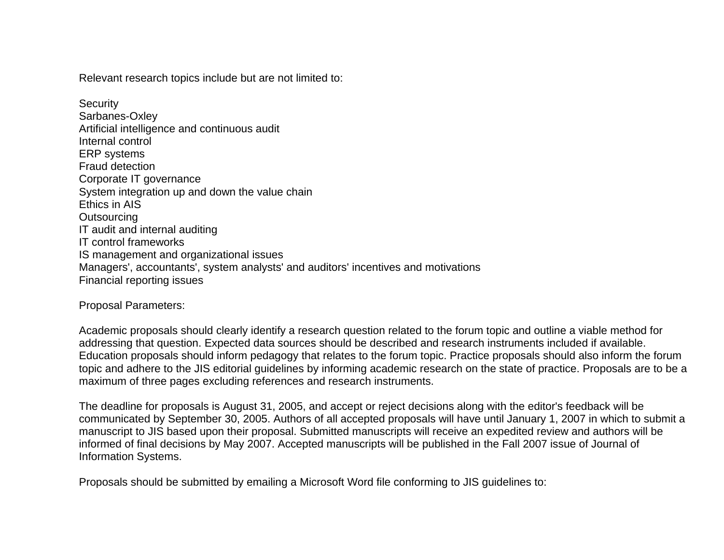Relevant research topics include but are not limited to:

**Security** Sarbanes-Oxley Artificial intelligence and continuous audit Internal control ERP systems Fraud detection Corporate IT governance System integration up and down the value chain Ethics in AIS **Outsourcing** IT audit and internal auditing IT control frameworks IS management and organizational issues Managers', accountants', system analysts' and auditors' incentives and motivations Financial reporting issues

Proposal Parameters:

Academic proposals should clearly identify a research question related to the forum topic and outline a viable method for addressing that question. Expected data sources should be described and research instruments included if available. Education proposals should inform pedagogy that relates to the forum topic. Practice proposals should also inform the forum topic and adhere to the JIS editorial guidelines by informing academic research on the state of practice. Proposals are to be a maximum of three pages excluding references and research instruments.

The deadline for proposals is August 31, 2005, and accept or reject decisions along with the editor's feedback will be communicated by September 30, 2005. Authors of all accepted proposals will have until January 1, 2007 in which to submit a manuscript to JIS based upon their proposal. Submitted manuscripts will receive an expedited review and authors will be informed of final decisions by May 2007. Accepted manuscripts will be published in the Fall 2007 issue of Journal of Information Systems.

Proposals should be submitted by emailing a Microsoft Word file conforming to JIS guidelines to: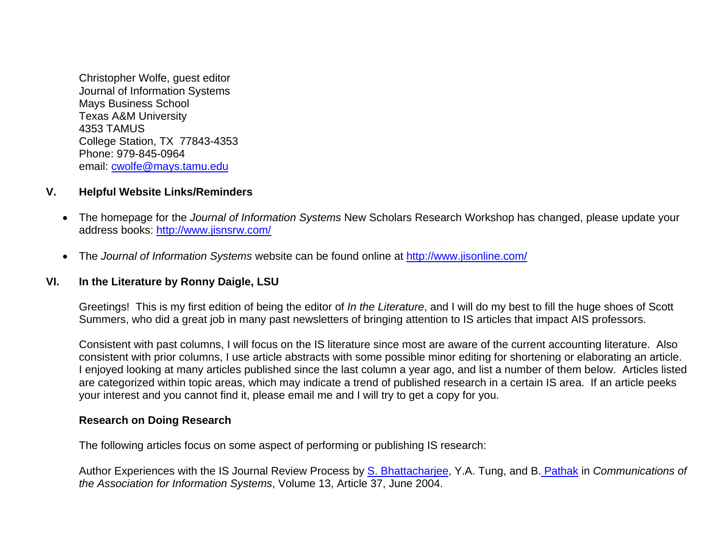<span id="page-5-0"></span>Christopher Wolfe, guest editor Journal of Information Systems Mays Business School Texas A&M University 4353 TAMUS College Station, TX 77843-4353 Phone: 979-845-0964 email: cwolfe@mays.tamu.edu

### **V. Helpful Website Links/Reminders**

- The homepage for the *Journal of Information Systems* New Scholars Research Workshop has changed, please update your address books:<http://www.jisnsrw.com/>
- The *Journal of Information Systems* website can be found online at <http://www.jisonline.com/>

### **VI. In the Literature by Ronny Daigle, LSU**

Greetings! This is my first edition of being the editor of *In the Literature*, and I will do my best to fill the huge shoes of Scott Summers, who did a great job in many past newsletters of bringing attention to IS articles that impact AIS professors.

Consistent with past columns, I will focus on the IS literature since most are aware of the current accounting literature. Also consistent with prior columns, I use article abstracts with some possible minor editing for shortening or elaborating an article. I enjoyed looking at many articles published since the last column a year ago, and list a number of them below. Articles listed are categorized within topic areas, which may indicate a trend of published research in a certain IS area. If an article peeks your interest and you cannot find it, please email me and I will try to get a copy for you.

### **Research on Doing Research**

The following articles focus on some aspect of performing or publishing IS research:

Author Experiences with the IS Journal Review Process by [S. Bhattacharjee](http://cais.isworld.org/authors.asp?auth=672), Y.A. Tung, and B. [Pathak](http://cais.isworld.org/authors.asp?auth=674) in *Communications of the Association for Information Systems*, Volume 13, Article 37, June 2004.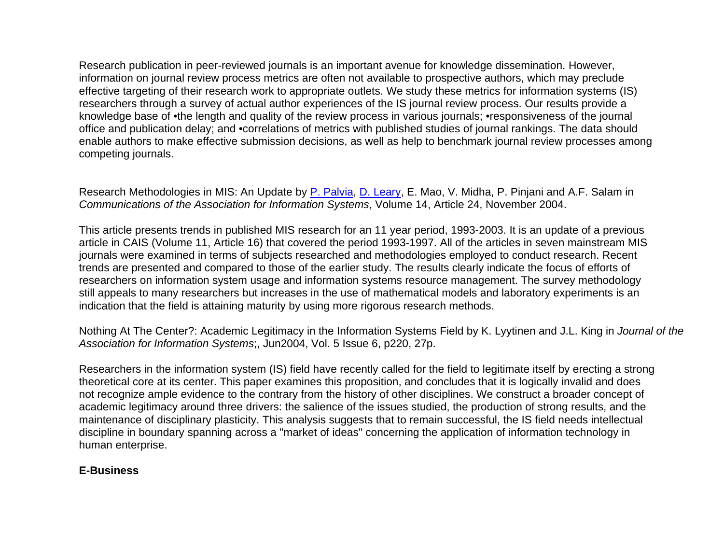Research publication in peer-reviewed journals is an important avenue for knowledge dissemination. However, information on journal review process metrics are often not available to prospective authors, which may preclude effective targeting of their research work to appropriate outlets. We study these metrics for information systems (IS) researchers through a survey of actual author experiences of the IS journal review process. Our results provide a knowledge base of •the length and quality of the review process in various journals; •responsiveness of the journal office and publication delay; and •correlations of metrics with published studies of journal rankings. The data should enable authors to make effective submission decisions, as well as help to benchmark journal review processes among competing journals.

Research Methodologies in MIS: An Update by [P. Palvia](http://cais.isworld.org/authors.asp?auth=496), [D. Leary](http://cais.isworld.org/authors.asp?auth=720), E. Mao, V. Midha, P. Pinjani and A.F. Salam in *Communications of the Association for Information Systems*, Volume 14, Article 24, November 2004.

This article presents trends in published MIS research for an 11 year period, 1993-2003. It is an update of a previous article in CAIS (Volume 11, Article 16) that covered the period 1993-1997. All of the articles in seven mainstream MIS journals were examined in terms of subjects researched and methodologies employed to conduct research. Recent trends are presented and compared to those of the earlier study. The results clearly indicate the focus of efforts of researchers on information system usage and information systems resource management. The survey methodology still appeals to many researchers but increases in the use of mathematical models and laboratory experiments is an indication that the field is attaining maturity by using more rigorous research methods.

Nothing At The Center?: Academic Legitimacy in the Information Systems Field by K. Lyytinen and J.L. King in *Journal of the Association for Information Systems*;, Jun2004, Vol. 5 Issue 6, p220, 27p.

Researchers in the information system (IS) field have recently called for the field to legitimate itself by erecting a strong theoretical core at its center. This paper examines this proposition, and concludes that it is logically invalid and does not recognize ample evidence to the contrary from the history of other disciplines. We construct a broader concept of academic legitimacy around three drivers: the salience of the issues studied, the production of strong results, and the maintenance of disciplinary plasticity. This analysis suggests that to remain successful, the IS field needs intellectual discipline in boundary spanning across a "market of ideas" concerning the application of information technology in human enterprise.

# **E-Business**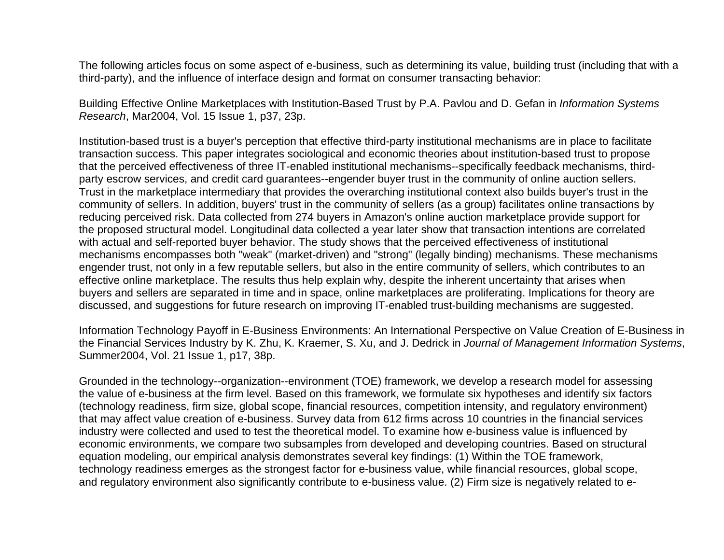The following articles focus on some aspect of e-business, such as determining its value, building trust (including that with a third-party), and the influence of interface design and format on consumer transacting behavior:

Building Effective Online Marketplaces with Institution-Based Trust by P.A. Pavlou and D. Gefan in *Information Systems Research*, Mar2004, Vol. 15 Issue 1, p37, 23p.

Institution-based trust is a buyer's perception that effective third-party institutional mechanisms are in place to facilitate transaction success. This paper integrates sociological and economic theories about institution-based trust to propose that the perceived effectiveness of three IT-enabled institutional mechanisms--specifically feedback mechanisms, thirdparty escrow services, and credit card guarantees--engender buyer trust in the community of online auction sellers. Trust in the marketplace intermediary that provides the overarching institutional context also builds buyer's trust in the community of sellers. In addition, buyers' trust in the community of sellers (as a group) facilitates online transactions by reducing perceived risk. Data collected from 274 buyers in Amazon's online auction marketplace provide support for the proposed structural model. Longitudinal data collected a year later show that transaction intentions are correlated with actual and self-reported buyer behavior. The study shows that the perceived effectiveness of institutional mechanisms encompasses both "weak" (market-driven) and "strong" (legally binding) mechanisms. These mechanisms engender trust, not only in a few reputable sellers, but also in the entire community of sellers, which contributes to an effective online marketplace. The results thus help explain why, despite the inherent uncertainty that arises when buyers and sellers are separated in time and in space, online marketplaces are proliferating. Implications for theory are discussed, and suggestions for future research on improving IT-enabled trust-building mechanisms are suggested.

Information Technology Payoff in E-Business Environments: An International Perspective on Value Creation of E-Business in the Financial Services Industry by K. Zhu, K. Kraemer, S. Xu, and J. Dedrick in *Journal of Management Information Systems*, Summer2004, Vol. 21 Issue 1, p17, 38p.

Grounded in the technology--organization--environment (TOE) framework, we develop a research model for assessing the value of e-business at the firm level. Based on this framework, we formulate six hypotheses and identify six factors (technology readiness, firm size, global scope, financial resources, competition intensity, and regulatory environment) that may affect value creation of e-business. Survey data from 612 firms across 10 countries in the financial services industry were collected and used to test the theoretical model. To examine how e-business value is influenced by economic environments, we compare two subsamples from developed and developing countries. Based on structural equation modeling, our empirical analysis demonstrates several key findings: (1) Within the TOE framework, technology readiness emerges as the strongest factor for e-business value, while financial resources, global scope, and regulatory environment also significantly contribute to e-business value. (2) Firm size is negatively related to e-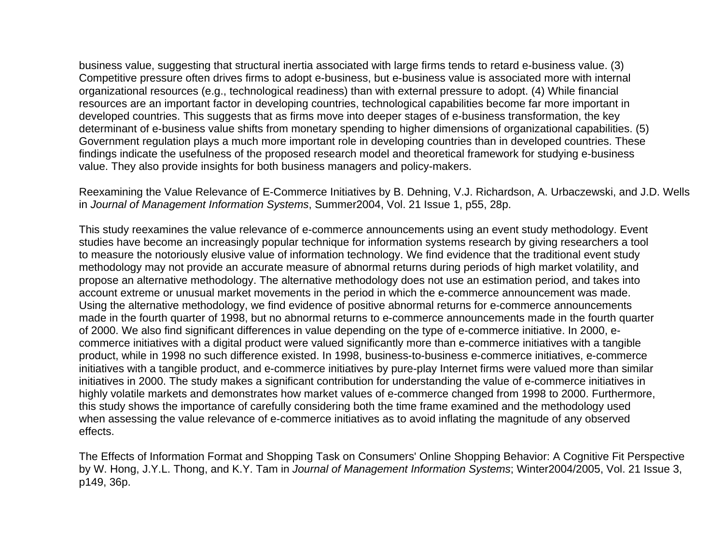business value, suggesting that structural inertia associated with large firms tends to retard e-business value. (3) Competitive pressure often drives firms to adopt e-business, but e-business value is associated more with internal organizational resources (e.g., technological readiness) than with external pressure to adopt. (4) While financial resources are an important factor in developing countries, technological capabilities become far more important in developed countries. This suggests that as firms move into deeper stages of e-business transformation, the key determinant of e-business value shifts from monetary spending to higher dimensions of organizational capabilities. (5) Government regulation plays a much more important role in developing countries than in developed countries. These findings indicate the usefulness of the proposed research model and theoretical framework for studying e-business value. They also provide insights for both business managers and policy-makers.

Reexamining the Value Relevance of E-Commerce Initiatives by B. Dehning, V.J. Richardson, A. Urbaczewski, and J.D. Wells in *Journal of Management Information Systems*, Summer2004, Vol. 21 Issue 1, p55, 28p.

This study reexamines the value relevance of e-commerce announcements using an event study methodology. Event studies have become an increasingly popular technique for information systems research by giving researchers a tool to measure the notoriously elusive value of information technology. We find evidence that the traditional event study methodology may not provide an accurate measure of abnormal returns during periods of high market volatility, and propose an alternative methodology. The alternative methodology does not use an estimation period, and takes into account extreme or unusual market movements in the period in which the e-commerce announcement was made. Using the alternative methodology, we find evidence of positive abnormal returns for e-commerce announcements made in the fourth quarter of 1998, but no abnormal returns to e-commerce announcements made in the fourth quarter of 2000. We also find significant differences in value depending on the type of e-commerce initiative. In 2000, ecommerce initiatives with a digital product were valued significantly more than e-commerce initiatives with a tangible product, while in 1998 no such difference existed. In 1998, business-to-business e-commerce initiatives, e-commerce initiatives with a tangible product, and e-commerce initiatives by pure-play Internet firms were valued more than similar initiatives in 2000. The study makes a significant contribution for understanding the value of e-commerce initiatives in highly volatile markets and demonstrates how market values of e-commerce changed from 1998 to 2000. Furthermore, this study shows the importance of carefully considering both the time frame examined and the methodology used when assessing the value relevance of e-commerce initiatives as to avoid inflating the magnitude of any observed effects.

The Effects of Information Format and Shopping Task on Consumers' Online Shopping Behavior: A Cognitive Fit Perspective by W. Hong, J.Y.L. Thong, and K.Y. Tam in *Journal of Management Information Systems*; Winter2004/2005, Vol. 21 Issue 3, p149, 36p.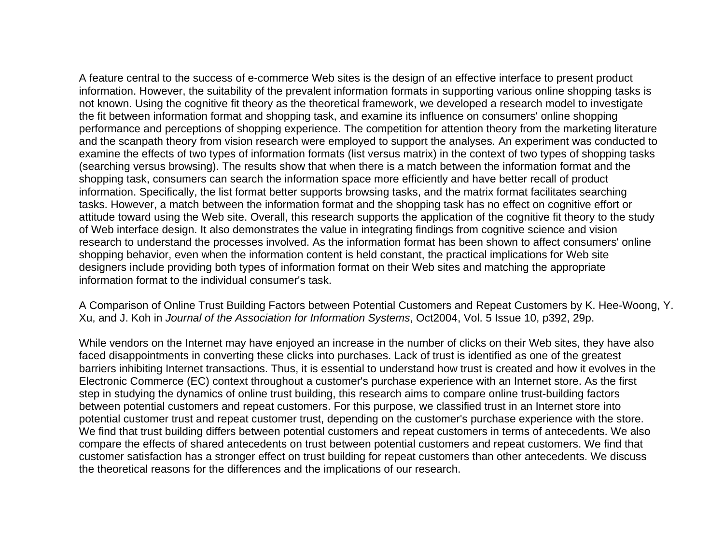A feature central to the success of e-commerce Web sites is the design of an effective interface to present product information. However, the suitability of the prevalent information formats in supporting various online shopping tasks is not known. Using the cognitive fit theory as the theoretical framework, we developed a research model to investigate the fit between information format and shopping task, and examine its influence on consumers' online shopping performance and perceptions of shopping experience. The competition for attention theory from the marketing literature and the scanpath theory from vision research were employed to support the analyses. An experiment was conducted to examine the effects of two types of information formats (list versus matrix) in the context of two types of shopping tasks (searching versus browsing). The results show that when there is a match between the information format and the shopping task, consumers can search the information space more efficiently and have better recall of product information. Specifically, the list format better supports browsing tasks, and the matrix format facilitates searching tasks. However, a match between the information format and the shopping task has no effect on cognitive effort or attitude toward using the Web site. Overall, this research supports the application of the cognitive fit theory to the study of Web interface design. It also demonstrates the value in integrating findings from cognitive science and vision research to understand the processes involved. As the information format has been shown to affect consumers' online shopping behavior, even when the information content is held constant, the practical implications for Web site designers include providing both types of information format on their Web sites and matching the appropriate information format to the individual consumer's task.

A Comparison of Online Trust Building Factors between Potential Customers and Repeat Customers by K. Hee-Woong, Y. Xu, and J. Koh in *Journal of the Association for Information Systems*, Oct2004, Vol. 5 Issue 10, p392, 29p.

While vendors on the Internet may have enjoyed an increase in the number of clicks on their Web sites, they have also faced disappointments in converting these clicks into purchases. Lack of trust is identified as one of the greatest barriers inhibiting Internet transactions. Thus, it is essential to understand how trust is created and how it evolves in the Electronic Commerce (EC) context throughout a customer's purchase experience with an Internet store. As the first step in studying the dynamics of online trust building, this research aims to compare online trust-building factors between potential customers and repeat customers. For this purpose, we classified trust in an Internet store into potential customer trust and repeat customer trust, depending on the customer's purchase experience with the store. We find that trust building differs between potential customers and repeat customers in terms of antecedents. We also compare the effects of shared antecedents on trust between potential customers and repeat customers. We find that customer satisfaction has a stronger effect on trust building for repeat customers than other antecedents. We discuss the theoretical reasons for the differences and the implications of our research.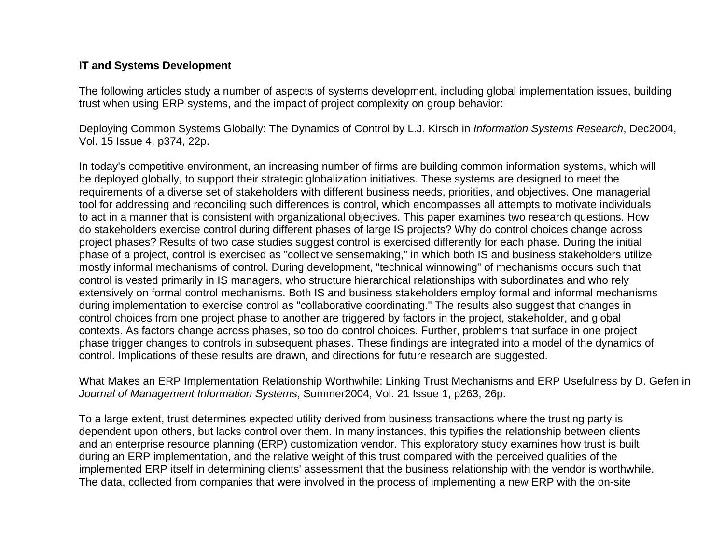### **IT and Systems Development**

The following articles study a number of aspects of systems development, including global implementation issues, building trust when using ERP systems, and the impact of project complexity on group behavior:

Deploying Common Systems Globally: The Dynamics of Control by L.J. Kirsch in *Information Systems Research*, Dec2004, Vol. 15 Issue 4, p374, 22p.

In today's competitive environment, an increasing number of firms are building common information systems, which will be deployed globally, to support their strategic globalization initiatives. These systems are designed to meet the requirements of a diverse set of stakeholders with different business needs, priorities, and objectives. One managerial tool for addressing and reconciling such differences is control, which encompasses all attempts to motivate individuals to act in a manner that is consistent with organizational objectives. This paper examines two research questions. How do stakeholders exercise control during different phases of large IS projects? Why do control choices change across project phases? Results of two case studies suggest control is exercised differently for each phase. During the initial phase of a project, control is exercised as "collective sensemaking," in which both IS and business stakeholders utilize mostly informal mechanisms of control. During development, "technical winnowing" of mechanisms occurs such that control is vested primarily in IS managers, who structure hierarchical relationships with subordinates and who rely extensively on formal control mechanisms. Both IS and business stakeholders employ formal and informal mechanisms during implementation to exercise control as "collaborative coordinating." The results also suggest that changes in control choices from one project phase to another are triggered by factors in the project, stakeholder, and global contexts. As factors change across phases, so too do control choices. Further, problems that surface in one project phase trigger changes to controls in subsequent phases. These findings are integrated into a model of the dynamics of control. Implications of these results are drawn, and directions for future research are suggested.

What Makes an ERP Implementation Relationship Worthwhile: Linking Trust Mechanisms and ERP Usefulness by D. Gefen in *Journal of Management Information Systems*, Summer2004, Vol. 21 Issue 1, p263, 26p.

To a large extent, trust determines expected utility derived from business transactions where the trusting party is dependent upon others, but lacks control over them. In many instances, this typifies the relationship between clients and an enterprise resource planning (ERP) customization vendor. This exploratory study examines how trust is built during an ERP implementation, and the relative weight of this trust compared with the perceived qualities of the implemented ERP itself in determining clients' assessment that the business relationship with the vendor is worthwhile. The data, collected from companies that were involved in the process of implementing a new ERP with the on-site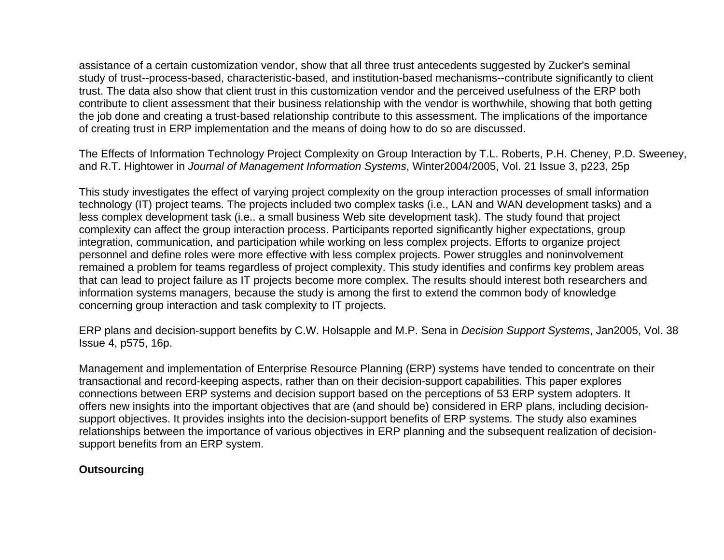assistance of a certain customization vendor, show that all three trust antecedents suggested by Zucker's seminal study of trust--process-based, characteristic-based, and institution-based mechanisms--contribute significantly to client trust. The data also show that client trust in this customization vendor and the perceived usefulness of the ERP both contribute to client assessment that their business relationship with the vendor is worthwhile, showing that both getting the job done and creating a trust-based relationship contribute to this assessment. The implications of the importance of creating trust in ERP implementation and the means of doing how to do so are discussed.

The Effects of Information Technology Project Complexity on Group Interaction by T.L. Roberts, P.H. Cheney, P.D. Sweeney, and R.T. Hightower in *Journal of Management Information Systems*, Winter2004/2005, Vol. 21 Issue 3, p223, 25p

This study investigates the effect of varying project complexity on the group interaction processes of small information technology (IT) project teams. The projects included two complex tasks (i.e., LAN and WAN development tasks) and a less complex development task (i.e.. a small business Web site development task). The study found that project complexity can affect the group interaction process. Participants reported significantly higher expectations, group integration, communication, and participation while working on less complex projects. Efforts to organize project personnel and define roles were more effective with less complex projects. Power struggles and noninvolvement remained a problem for teams regardless of project complexity. This study identifies and confirms key problem areas that can lead to project failure as IT projects become more complex. The results should interest both researchers and information systems managers, because the study is among the first to extend the common body of knowledge concerning group interaction and task complexity to IT projects.

ERP plans and decision-support benefits by C.W. Holsapple and M.P. Sena in *Decision Support Systems*, Jan2005, Vol. 38 Issue 4, p575, 16p.

Management and implementation of Enterprise Resource Planning (ERP) systems have tended to concentrate on their transactional and record-keeping aspects, rather than on their decision-support capabilities. This paper explores connections between ERP systems and decision support based on the perceptions of 53 ERP system adopters. It offers new insights into the important objectives that are (and should be) considered in ERP plans, including decisionsupport objectives. It provides insights into the decision-support benefits of ERP systems. The study also examines relationships between the importance of various objectives in ERP planning and the subsequent realization of decisionsupport benefits from an ERP system.

# **Outsourcing**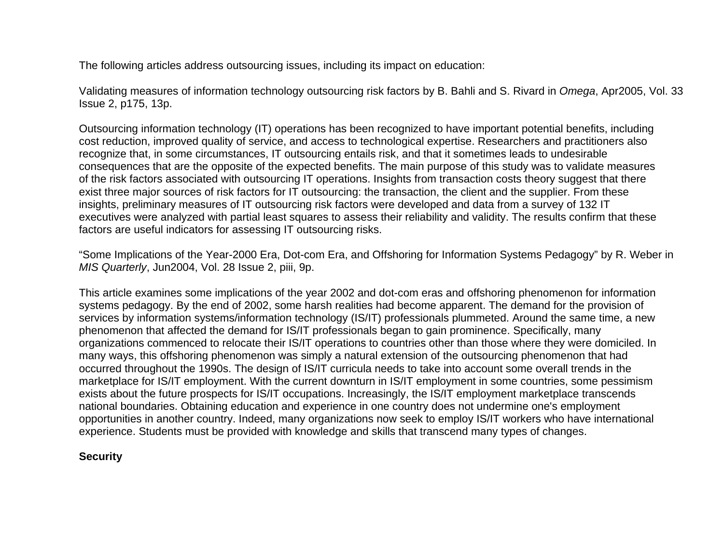The following articles address outsourcing issues, including its impact on education:

Validating measures of information technology outsourcing risk factors by B. Bahli and S. Rivard in *Omega*, Apr2005, Vol. 33 Issue 2, p175, 13p.

Outsourcing information technology (IT) operations has been recognized to have important potential benefits, including cost reduction, improved quality of service, and access to technological expertise. Researchers and practitioners also recognize that, in some circumstances, IT outsourcing entails risk, and that it sometimes leads to undesirable consequences that are the opposite of the expected benefits. The main purpose of this study was to validate measures of the risk factors associated with outsourcing IT operations. Insights from transaction costs theory suggest that there exist three major sources of risk factors for IT outsourcing: the transaction, the client and the supplier. From these insights, preliminary measures of IT outsourcing risk factors were developed and data from a survey of 132 IT executives were analyzed with partial least squares to assess their reliability and validity. The results confirm that these factors are useful indicators for assessing IT outsourcing risks.

"Some Implications of the Year-2000 Era, Dot-com Era, and Offshoring for Information Systems Pedagogy" by R. Weber in *MIS Quarterly*, Jun2004, Vol. 28 Issue 2, piii, 9p.

This article examines some implications of the year 2002 and dot-com eras and offshoring phenomenon for information systems pedagogy. By the end of 2002, some harsh realities had become apparent. The demand for the provision of services by information systems/information technology (IS/IT) professionals plummeted. Around the same time, a new phenomenon that affected the demand for IS/IT professionals began to gain prominence. Specifically, many organizations commenced to relocate their IS/IT operations to countries other than those where they were domiciled. In many ways, this offshoring phenomenon was simply a natural extension of the outsourcing phenomenon that had occurred throughout the 1990s. The design of IS/IT curricula needs to take into account some overall trends in the marketplace for IS/IT employment. With the current downturn in IS/IT employment in some countries, some pessimism exists about the future prospects for IS/IT occupations. Increasingly, the IS/IT employment marketplace transcends national boundaries. Obtaining education and experience in one country does not undermine one's employment opportunities in another country. Indeed, many organizations now seek to employ IS/IT workers who have international experience. Students must be provided with knowledge and skills that transcend many types of changes.

### **Security**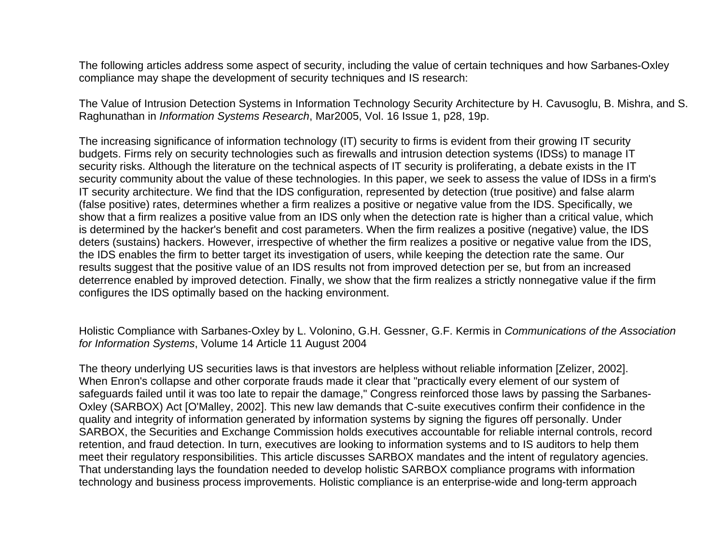The following articles address some aspect of security, including the value of certain techniques and how Sarbanes-Oxley compliance may shape the development of security techniques and IS research:

The Value of Intrusion Detection Systems in Information Technology Security Architecture by H. Cavusoglu, B. Mishra, and S. Raghunathan in *Information Systems Research*, Mar2005, Vol. 16 Issue 1, p28, 19p.

The increasing significance of information technology (IT) security to firms is evident from their growing IT security budgets. Firms rely on security technologies such as firewalls and intrusion detection systems (IDSs) to manage IT security risks. Although the literature on the technical aspects of IT security is proliferating, a debate exists in the IT security community about the value of these technologies. In this paper, we seek to assess the value of IDSs in a firm's IT security architecture. We find that the IDS configuration, represented by detection (true positive) and false alarm (false positive) rates, determines whether a firm realizes a positive or negative value from the IDS. Specifically, we show that a firm realizes a positive value from an IDS only when the detection rate is higher than a critical value, which is determined by the hacker's benefit and cost parameters. When the firm realizes a positive (negative) value, the IDS deters (sustains) hackers. However, irrespective of whether the firm realizes a positive or negative value from the IDS, the IDS enables the firm to better target its investigation of users, while keeping the detection rate the same. Our results suggest that the positive value of an IDS results not from improved detection per se, but from an increased deterrence enabled by improved detection. Finally, we show that the firm realizes a strictly nonnegative value if the firm configures the IDS optimally based on the hacking environment.

Holistic Compliance with Sarbanes-Oxley by L. Volonino, G.H. Gessner, G.F. Kermis in *Communications of the Association for Information Systems*, Volume 14 Article 11 August 2004

The theory underlying US securities laws is that investors are helpless without reliable information [Zelizer, 2002]. When Enron's collapse and other corporate frauds made it clear that "practically every element of our system of safeguards failed until it was too late to repair the damage," Congress reinforced those laws by passing the Sarbanes-Oxley (SARBOX) Act [O'Malley, 2002]. This new law demands that C-suite executives confirm their confidence in the quality and integrity of information generated by information systems by signing the figures off personally. Under SARBOX, the Securities and Exchange Commission holds executives accountable for reliable internal controls, record retention, and fraud detection. In turn, executives are looking to information systems and to IS auditors to help them meet their regulatory responsibilities. This article discusses SARBOX mandates and the intent of regulatory agencies. That understanding lays the foundation needed to develop holistic SARBOX compliance programs with information technology and business process improvements. Holistic compliance is an enterprise-wide and long-term approach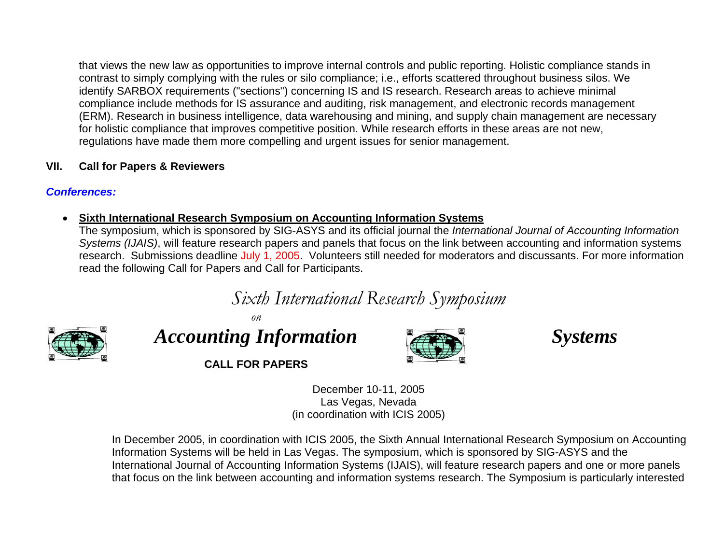<span id="page-14-0"></span>that views the new law as opportunities to improve internal controls and public reporting. Holistic compliance stands in contrast to simply complying with the rules or silo compliance; i.e., efforts scattered throughout business silos. We identify SARBOX requirements ("sections") concerning IS and IS research. Research areas to achieve minimal compliance include methods for IS assurance and auditing, risk management, and electronic records management (ERM). Research in business intelligence, data warehousing and mining, and supply chain management are necessary for holistic compliance that improves competitive position. While research efforts in these areas are not new, regulations have made them more compelling and urgent issues for senior management.

# **VII. Call for Papers & Revie wers**

# *Conferences:*

### •**•** Sixth International Research Symposium on Accounting Information Systems

The symposium, which is sponsored by SIG-ASYS and its official journal the *International Journal of Accounting Information Systems (IJAIS)*, will feature research papers and panels that focus on the link between accounting and information systems research. Submissions deadline July 1, 2005. Volunteers still needed for moderators and discussants. For more information read the following Call for Papers and Call for Participants.

*Sixth International Research Symposium* 



*Accounting Information Systems* 

*on* 



**CALL FOR PAPERS** 

December 10-11, 2005 Las Vegas, Nevada (in coordination with ICIS 2005)

In December 2005, in coordination with ICIS 2005, the Sixth Annual International Researc h Symposium on Accounting Information Systems will be held in Las Vegas. The symposium, which is sponsored by SIG-ASYS a nd the International Journal of Accounting Information Systems (IJAIS), will feature research papers and one or more panels that focus on the link between accounting and information systems research. The Symposium is particularly interested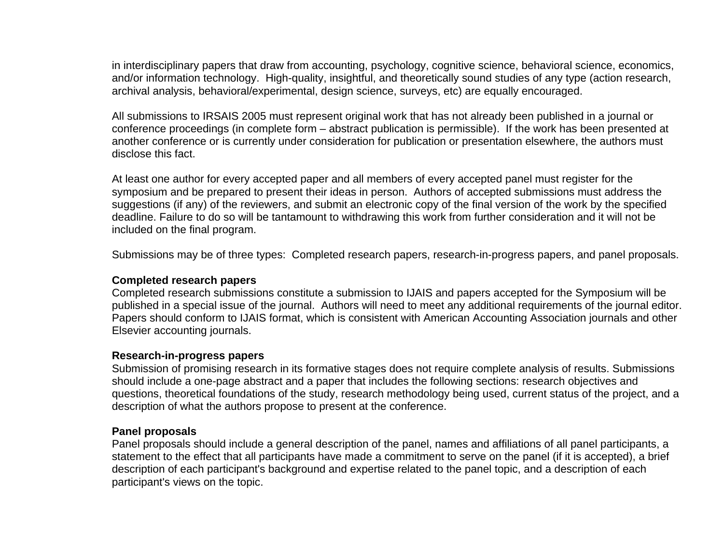in interdisciplinary papers that draw from accounting, psychology, cognitive science, behavioral science, economics, and/or information technology. High-quality, insightful, and theoretically sound studies of any type (action research, archival analysis, behavioral/experimental, design science, surveys, etc) are equally encouraged.

All submissions to IRSAIS 2005 must represent original work that has not already been published in a journal or conference proceedings (in complete form – abstract publication is permissible). If the work has been presented at another conference or is currently under consideration for publication or presentation elsewhere, the authors must disclose this fact.

At least one author for every accepted paper and all members of every accepted panel must register for the symposium and be prepared to present their ideas in person. Authors of accepted submissions must address the suggestions (if any) of the reviewers, and submit an electronic copy of the final version of the work by the specified deadline. Failure to do so will be tantamount to withdrawing this work from further consideration and it will not be included on the final program.

Submissions may be of three types: Completed research papers, research-in-progress papers, and panel proposals.

### **Completed research papers**

Completed research submissions constitute a submission to IJAIS and papers accepted for the Symposium will be published in a special issue of the journal. Authors will need to meet any additional requirements of the journal editor. Papers should conform to IJAIS format, which is consistent with American Accounting Association journals and other Elsevier accounting journals.

### **Research-in-progress papers**

Submission of promising research in its formative stages does not require complete analysis of results. Submissions should include a one-page abstract and a paper that includes the following sections: research objectives and questions, theoretical foundations of the study, research methodology being used, current status of the project, and a description of what the authors propose to present at the conference.

### **Panel proposals**

Panel proposals should include a general description of the panel, names and affiliations of all panel participants, a statement to the effect that all participants have made a commitment to serve on the panel (if it is accepted), a brief description of each participant's background and expertise related to the panel topic, and a description of each participant's views on the topic.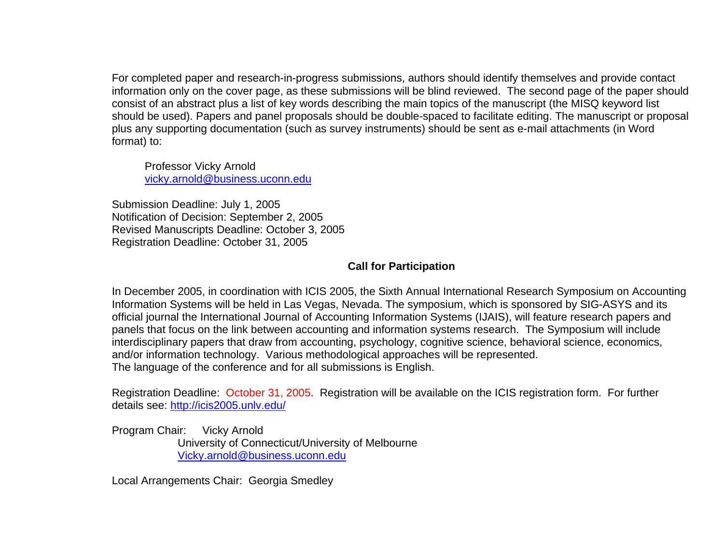For completed paper and research-in-progress submissions, authors should identify themselves and provide contact information only on the cover page, as these submissions will be blind reviewed. The second page of the paper should consist of an abstract plus a list of key words describing the main topics of the manuscript (the MISQ keyword list should be used). Papers and panel proposals should be double-spaced to facilitate editing. The manuscript or proposal plus any supporting documentation (such as survey instruments) should be sent as e-mail attachments (in Word format) to:

Professor Vicky Arnold [vicky.arnold@business.uconn.edu](mailto:vicky.arnold@business.uconn.edu)

Submission Deadline: July 1, 2005 Notification of Decision: September 2, 2005 Revised Manuscripts Deadline: October 3, 2005 Registration Deadline: October 31, 2005

# **Call for Participation**

In December 2005, in coordination with ICIS 2005, the Sixth Annual International Research Symposium on Accounting Information Systems will be held in Las Vegas, Nevada. The symposium, which is sponsored by SIG-ASYS and its official journal the International Journal of Accounting Information Systems (IJAIS), will feature research papers and panels that focus on the link between accounting and information systems research. The Symposium will include interdisciplinary papers that draw from accounting, psychology, cognitive science, behavioral science, economics, and/or information technology. Various methodological approaches will be represented. The language of the conference and for all submissions is English.

Registration Deadline: October 31, 2005. Registration will be available on the ICIS registration form. For further details see:<http://icis2005.unlv.edu/>

Program Chair: Vicky Arnold University of Connecticut/University of Melbourne [Vicky.arnold@business.uconn.edu](mailto:Vicky.arnold@business.uconn.edu)

Local Arrangements Chair: Georgia Smedley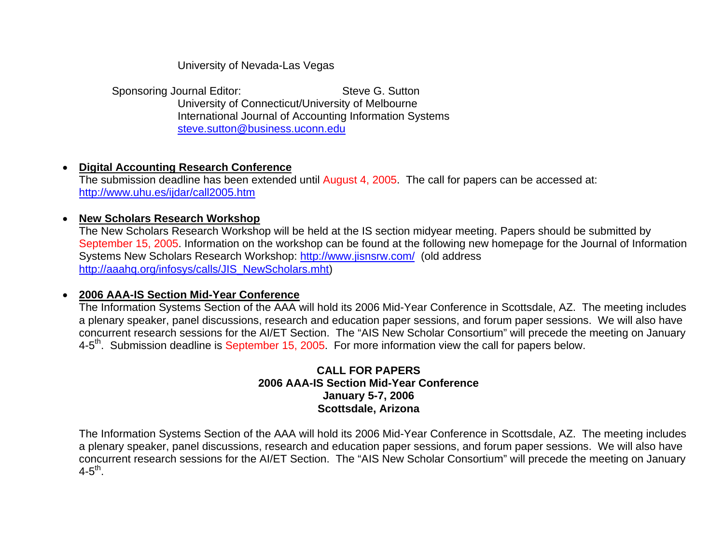University of Nevada-Las Vegas

Sponsoring Journal Editor: Steve G. Sutton University of Connecticut/University of Melbourne International Journal of Accounting Information Systems [steve.sutton@business.uconn.edu](mailto:ssutton@sba.uconn.edu)

### $\bullet$ **Digital Accounting Research Conference**

The submission deadline has been extended until August 4, 2005. The call for papers can be accessed at: <http://www.uhu.es/ijdar/call2005.htm>

### $\bullet$ **New Scholars Research Workshop**

The New Scholars Research Workshop will be held at the IS section midyear meeting. Papers should be submitted by September 15, 2005. Information on the workshop can be found at the following new homepage for the Journal of Information Systems New Scholars Research Workshop:<http://www.jisnsrw.com/>(old address [http://aaahq.org/infosys/calls/JIS\\_NewScholars.mht](http://aaahq.org/infosys/calls/JIS_NewScholars.mht))

### • **2006 AAA-IS Section Mid-Year Conference**

The Information Systems Section of the AAA will hold its 2006 Mid-Year Conference in Scottsdale, AZ. The meeting includes a plenary speaker, panel discussions, research and education paper sessions, and forum paper sessions. We will also have concurrent research sessions for the AI/ET Section. The "AIS New Scholar Consortium" will precede the meeting on January 4-5<sup>th</sup>. Submission deadline is September 15, 2005. For more information view the call for papers below.

### **CALL FOR PAPERS 2006 AAA-IS Section Mid-Year Conference January 5-7, 2006 Scottsdale, Arizona**

The Information Systems Section of the AAA will hold its 2006 Mid-Year Conference in Scottsdale, AZ. The meeting includes a plenary speaker, panel discussions, research and education paper sessions, and forum paper sessions. We will also have concurrent research sessions for the AI/ET Section. The "AIS New Scholar Consortium" will precede the meeting on January  $4 - 5$ <sup>th</sup>.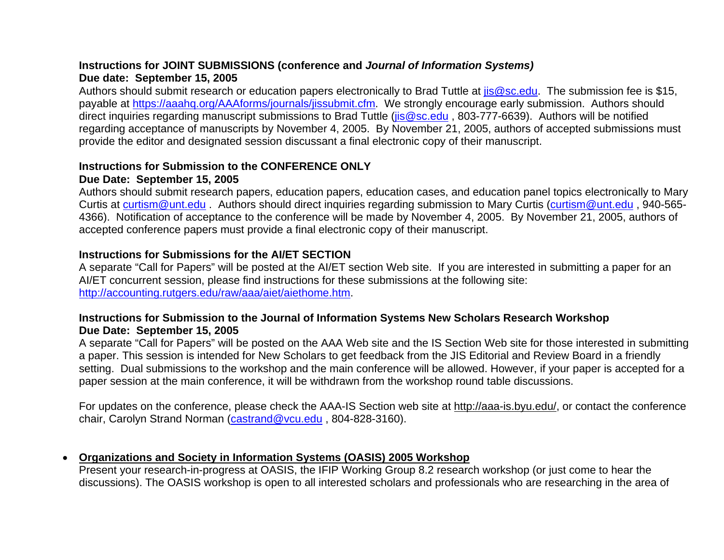# **Instructions for JOINT SUBMISSIONS (conference and** *Journal of Information Systems)*  **Due date: September 15, 2005**

Authors should submit research or education papers electronically to Brad Tuttle at *is@sc.edu*. The submission fee is \$15, payable at<https://aaahq.org/AAAforms/journals/jissubmit.cfm>. We strongly encourage early submission. Authors should direct inquiries regarding manuscript submissions to Brad Tuttle (jis@sc.edu, 803-777-6639). Authors will be notified regarding acceptance of manuscripts by November 4, 2005. By November 21, 2005, authors of accepted submissions must provide the editor and designated session discussant a final electronic copy of their manuscript.

# **Instructions for Submission to the CONFERENCE ONLY**

### **Due Date: September 15, 2005**

Authors should submit research papers, education papers, education cases, and education panel topics electronically to Mary Curtis at [curtism@unt.edu](mailto:curtism@unt.edu) . Authors should direct inquiries regarding submission to Mary Curtis ([curtism@unt.edu](mailto:curtism@unt.edu) , 940-565- 4366). Notification of acceptance to the conference will be made by November 4, 2005. By November 21, 2005, authors of accepted conference papers must provide a final electronic copy of their manuscript.

### **Instructions for Submissions for the AI/ET SECTION**

A separate "Call for Papers" will be posted at the AI/ET section Web site. If you are interested in submitting a paper for an AI/ET concurrent session, please find instructions for these submissions at the following site: <http://accounting.rutgers.edu/raw/aaa/aiet/aiethome.htm>.

# **Instructions for Submission to the Journal of Information Systems New Scholars Research Workshop Due Date: September 15, 2005**

A separate "Call for Papers" will be posted on the AAA Web site and the IS Section Web site for those interested in submitting a paper. This session is intended for New Scholars to get feedback from the JIS Editorial and Review Board in a friendly setting. Dual submissions to the workshop and the main conference will be allowed. However, if your paper is accepted for a paper session at the main conference, it will be withdrawn from the workshop round table discussions.

For updates on the conference, please check the AAA-IS Section web site at <http://aaa-is.byu.edu/>, or contact the conference chair, Carolyn Strand Norman [\(castrand@vcu.edu](mailto:castrand@vcu.edu) , 804-828-3160).

### $\bullet$ **Organizations and Society in Information Systems (OASIS) 2005 Workshop**

Present your research-in-progress at OASIS, the IFIP Working Group 8.2 research workshop (or just come to hear the discussions). The OASIS workshop is open to all interested scholars and professionals who are researching in the area of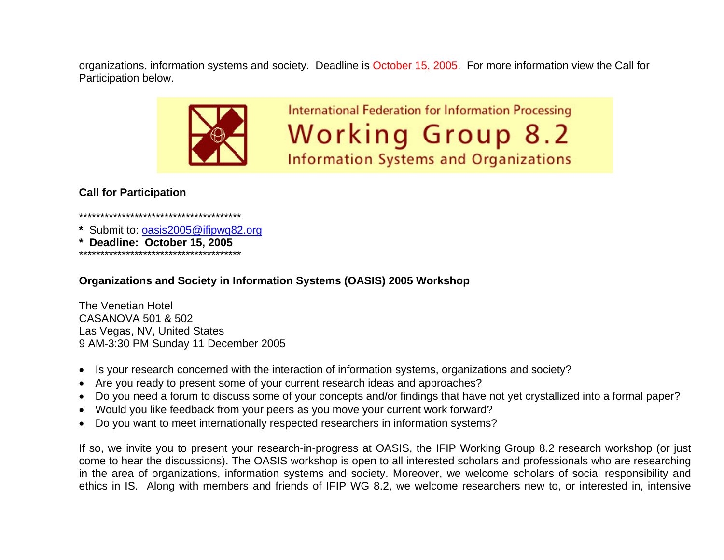organizations, information systems and society. Deadline is October 15, 2005. For more information view the Call for Participation below.



**International Federation for Information Processing Working Group 8.2 Information Systems and Organizations** 

# **Call for Participation**

\*\*\*\*\*\*\*\*\*\*\*\*\*\*\*\*\*\*\*\*\*\*\*\*\*\*\*\*\*\*\*\*\*\*\*\*\*\*

- **\*** Submit to: [oasis2005@ifipwg82.org](mailto:oasis2005@ifipwg82.org)
- Deadline: October 15, 2005

\*\*\*\*\*\*\*\*\*\*\*\*\*\*\*\*\*\*\*\*\*\*\*\*\*\*\*\*\*\*\*\*\*\*\*\*\*\*

**Organizations and Society in Information Systems (OASIS) 2005 Workshop** 

The Venetian Hotel CASANOVA 501 & 502 Las Vegas, NV, United States 9 AM-3:30 PM Sunday 11 December 2005

- Is your research concerned with the interaction of information systems, organizations and society?
- Are you ready to present some of your current research ideas and approaches?
- •Do you need a forum to discuss some of your concepts and/or findings that have not yet crystallized into a formal paper?
- Would you like feedback from your peers as you move your current work forward?
- •Do you want to meet internationally respected researchers in information systems?

If so, we invite you to present your research-in-progress at OASIS, the IFIP Working Group 8.2 research workshop (or just come to hear the discussions). The OASIS workshop is open to all interested scholars and professionals who are researching in the area of organizations, information systems and society. Moreover, we welcome scholars of social responsibility and ethics in IS. Along with members and friends of IFIP WG 8.2, we welcome researchers new to, or interested in, intensive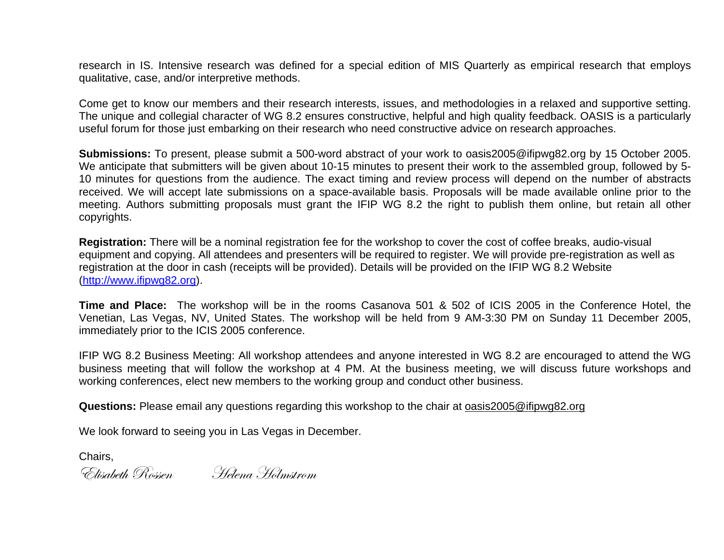research in IS. Intensive research was defined for a special edition of MIS Quarterly as empirical research that employs qualitative, case, and/or interpretive methods.

Come get to know our members and their research interests, issues, and methodologies in a relaxed and supportive setting. The unique and collegial character of WG 8.2 ensures constructive, helpful and high quality feedback. OASIS is a particularly useful forum for those just embarking on their research who need constructive advice on research approaches.

**Submissions:** To present, please submit a 500-word abstract of your work to oasis2005@ifipwg82.org by 15 October 2005. We anticipate that submitters will be given about 10-15 minutes to present their work to the assembled group, followed by 5-10 minutes for questions from the audience. The exact timing and review process will depend on the number of abstracts received. We will accept late submissions on a space-available basis. Proposals will be made available online prior to the meeting. Authors submitting proposals must grant the IFIP WG 8.2 the right to publish them online, but retain all other copyrights.

**Registration:** There will be a nominal registration fee for the workshop to cover the cost of coffee breaks, audio-visual equipment and copying. All attendees and presenters will be required to register. We will provide pre-registration as well as registration at the door in cash (receipts will be provided). Details will be provided on the IFIP WG 8.2 Website ([http://www.ifipwg82.org](http://www.ifipwg82.org/)).

**Time and Place:** The workshop will be in the rooms Casanova 501 & 502 of ICIS 2005 in the Conference Hotel, the Venetian, Las Vegas, NV, United States. The workshop will be held from 9 AM-3:30 PM on Sunday 11 December 2005, immediately prior to the ICIS 2005 conference.

IFIP WG 8.2 Business Meeting: All workshop attendees and anyone interested in WG 8.2 are encouraged to attend the WG business meeting that will follow the workshop at 4 PM. At the business meeting, we will discuss future workshops and working conferences, elect new members to the working group and conduct other business.

**Questions:** Please email any questions regarding this workshop to the chair at [oasis2005@ifipwg82.org](mailto:oasis2005@ifipwg82.org)

We look forward to seeing you in Las Vegas in December.

Chairs,

 $^{\circ}$ Elisabeth Rossen Helena Holmstrom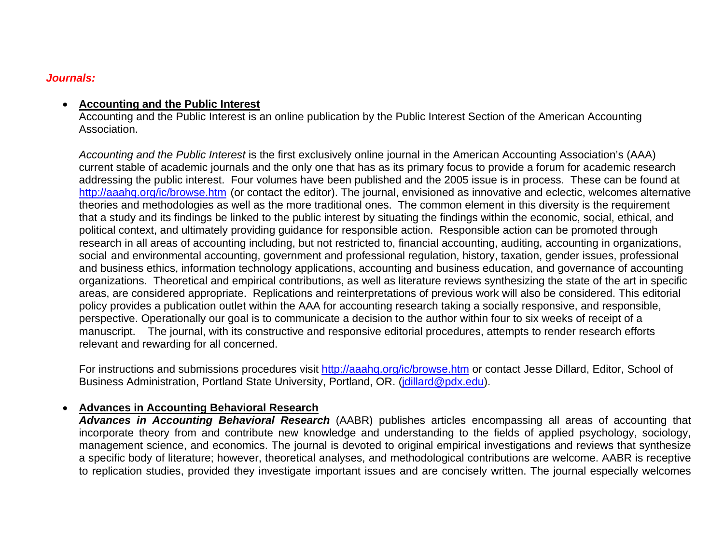### *Journals:*

### • **Accounting and the Public Interest**

Accounting and the Public Interest is an online publication by the Public Interest Section of the American Accounting Association.

*Accounting and the Public Interest* is the first exclusively online journal in the American Accounting Association's (AAA) current stable of academic journals and the only one that has as its primary focus to provide a forum for academic research addressing the public interest. Four volumes have been published and the 2005 issue is in process. These can be found at <http://aaahq.org/ic/browse.htm> (or contact the editor). The journal, envisioned as innovative and eclectic, welcomes alternative theories and methodologies as well as the more traditional ones. The common element in this diversity is the requirement that a study and its findings be linked to the public interest by situating the findings within the economic, social, ethical, and political context, and ultimately providing guidance for responsible action. Responsible action can be promoted through research in all areas of accounting including, but not restricted to, financial accounting, auditing, accounting in organizations, social and environmental accounting, government and professional regulation, history, taxation, gender issues, professional and business ethics, information technology applications, accounting and business education, and governance of accounting organizations. Theoretical and empirical contributions, as well as literature reviews synthesizing the state of the art in specific areas, are considered appropriate. Replications and reinterpretations of previous work will also be considered. This editorial policy provides a publication outlet within the AAA for accounting research taking a socially responsive, and responsible, perspective. Operationally our goal is to communicate a decision to the author within four to six weeks of receipt of a manuscript. The journal, with its constructive and responsive editorial procedures, attempts to render research efforts relevant and rewarding for all concerned.

For instructions and submissions procedures visit <http://aaahq.org/ic/browse.htm> or contact Jesse Dillard, Editor, School of Business Administration, Portland State University, Portland, OR. ([jdillard@pdx.edu](mailto:jdillard@pdx.edu)).

### •**Advances in Accounting Behavioral Research**

*Advances in Accounting Behavioral Research* (AABR) publishes articles encompassing all areas of accounting that incorporate theory from and contribute new knowledge and understanding to the fields of applied psychology, sociology, management science, and economics. The journal is devoted to original empirical investigations and reviews that synthesize a specific body of literature; however, theoretical analyses, and methodological contributions are welcome. AABR is receptive to replication studies, provided they investigate important issues and are concisely written. The journal especially welcomes